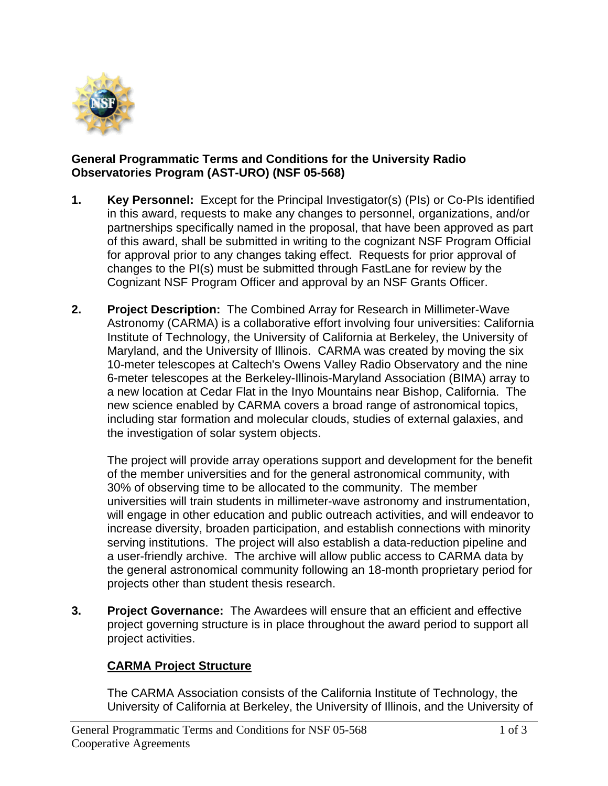

## **General Programmatic Terms and Conditions for the University Radio Observatories Program (AST-URO) (NSF 05-568)**

- **1. Key Personnel:** Except for the Principal Investigator(s) (PIs) or Co-PIs identified in this award, requests to make any changes to personnel, organizations, and/or partnerships specifically named in the proposal, that have been approved as part of this award, shall be submitted in writing to the cognizant NSF Program Official for approval prior to any changes taking effect. Requests for prior approval of changes to the PI(s) must be submitted through FastLane for review by the Cognizant NSF Program Officer and approval by an NSF Grants Officer.
- **2. Project Description:** The Combined Array for Research in Millimeter-Wave Astronomy (CARMA) is a collaborative effort involving four universities: California Institute of Technology, the University of California at Berkeley, the University of Maryland, and the University of Illinois. CARMA was created by moving the six 10-meter telescopes at Caltech's Owens Valley Radio Observatory and the nine 6-meter telescopes at the Berkeley-Illinois-Maryland Association (BIMA) array to a new location at Cedar Flat in the Inyo Mountains near Bishop, California. The new science enabled by CARMA covers a broad range of astronomical topics, including star formation and molecular clouds, studies of external galaxies, and the investigation of solar system objects.

The project will provide array operations support and development for the benefit of the member universities and for the general astronomical community, with 30% of observing time to be allocated to the community. The member universities will train students in millimeter-wave astronomy and instrumentation, will engage in other education and public outreach activities, and will endeavor to increase diversity, broaden participation, and establish connections with minority serving institutions. The project will also establish a data-reduction pipeline and a user-friendly archive. The archive will allow public access to CARMA data by the general astronomical community following an 18-month proprietary period for projects other than student thesis research.

**3. Project Governance:** The Awardees will ensure that an efficient and effective project governing structure is in place throughout the award period to support all project activities.

## **CARMA Project Structure**

The CARMA Association consists of the California Institute of Technology, the University of California at Berkeley, the University of Illinois, and the University of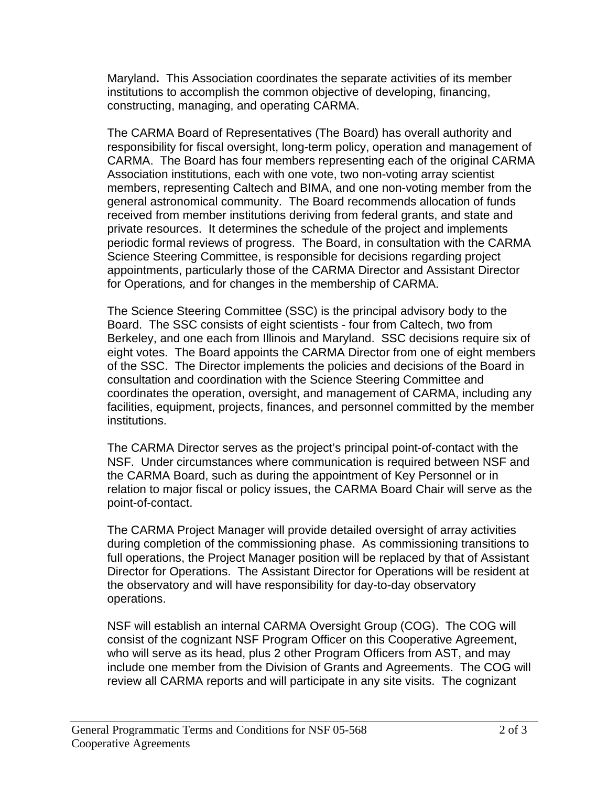Maryland**.** This Association coordinates the separate activities of its member institutions to accomplish the common objective of developing, financing, constructing, managing, and operating CARMA.

The CARMA Board of Representatives (The Board) has overall authority and responsibility for fiscal oversight, long-term policy, operation and management of CARMA. The Board has four members representing each of the original CARMA Association institutions, each with one vote, two non-voting array scientist members, representing Caltech and BIMA, and one non-voting member from the general astronomical community. The Board recommends allocation of funds received from member institutions deriving from federal grants, and state and private resources. It determines the schedule of the project and implements periodic formal reviews of progress. The Board, in consultation with the CARMA Science Steering Committee, is responsible for decisions regarding project appointments, particularly those of the CARMA Director and Assistant Director for Operations*,* and for changes in the membership of CARMA.

The Science Steering Committee (SSC) is the principal advisory body to the Board. The SSC consists of eight scientists - four from Caltech, two from Berkeley, and one each from Illinois and Maryland. SSC decisions require six of eight votes. The Board appoints the CARMA Director from one of eight members of the SSC. The Director implements the policies and decisions of the Board in consultation and coordination with the Science Steering Committee and coordinates the operation, oversight, and management of CARMA, including any facilities, equipment, projects, finances, and personnel committed by the member institutions.

The CARMA Director serves as the project's principal point-of-contact with the NSF. Under circumstances where communication is required between NSF and the CARMA Board, such as during the appointment of Key Personnel or in relation to major fiscal or policy issues, the CARMA Board Chair will serve as the point-of-contact.

The CARMA Project Manager will provide detailed oversight of array activities during completion of the commissioning phase. As commissioning transitions to full operations, the Project Manager position will be replaced by that of Assistant Director for Operations. The Assistant Director for Operations will be resident at the observatory and will have responsibility for day-to-day observatory operations.

NSF will establish an internal CARMA Oversight Group (COG). The COG will consist of the cognizant NSF Program Officer on this Cooperative Agreement, who will serve as its head, plus 2 other Program Officers from AST, and may include one member from the Division of Grants and Agreements. The COG will review all CARMA reports and will participate in any site visits. The cognizant